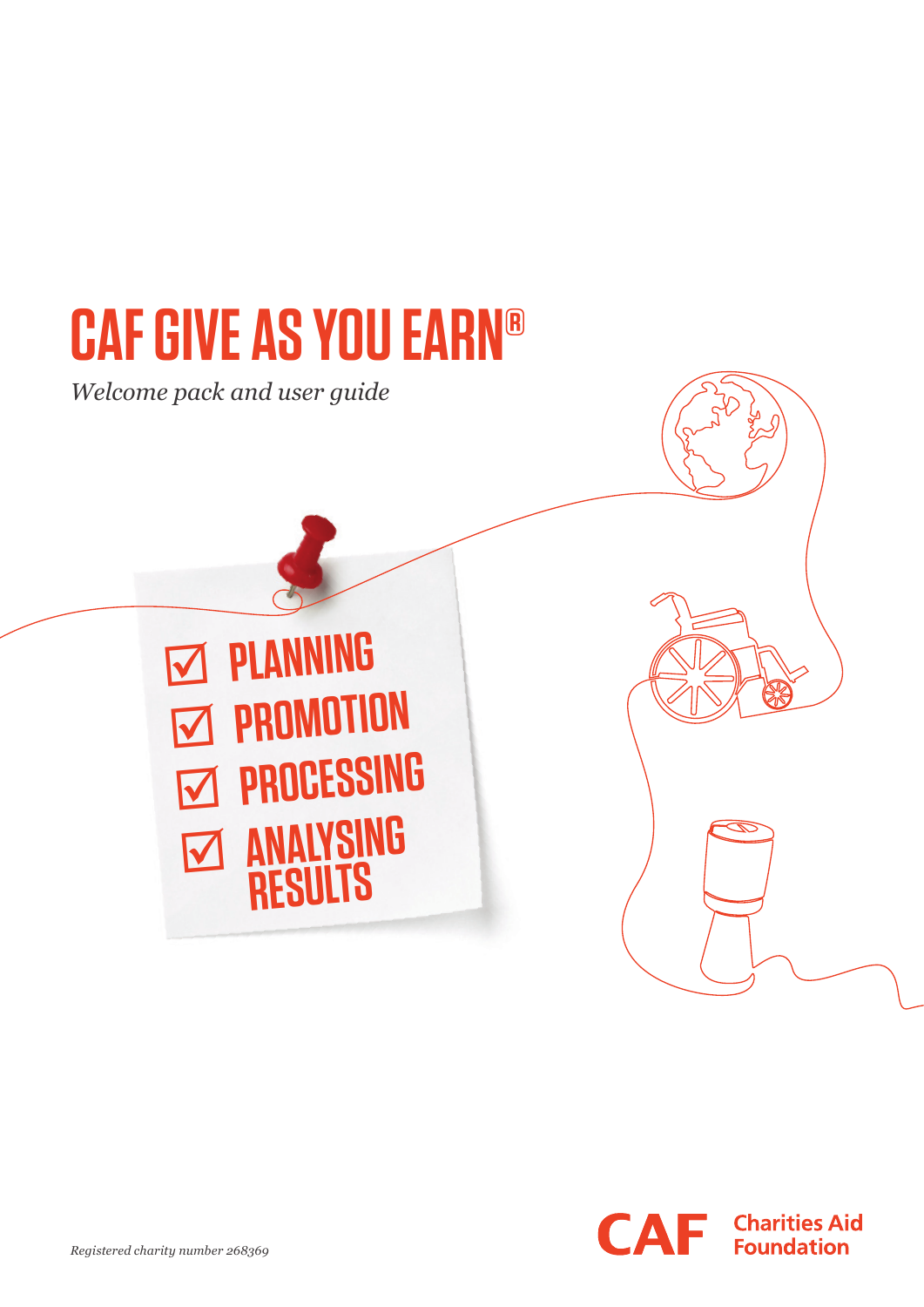# **CAF GIVE AS YOU EARN®**

*Welcome pack and user guide*



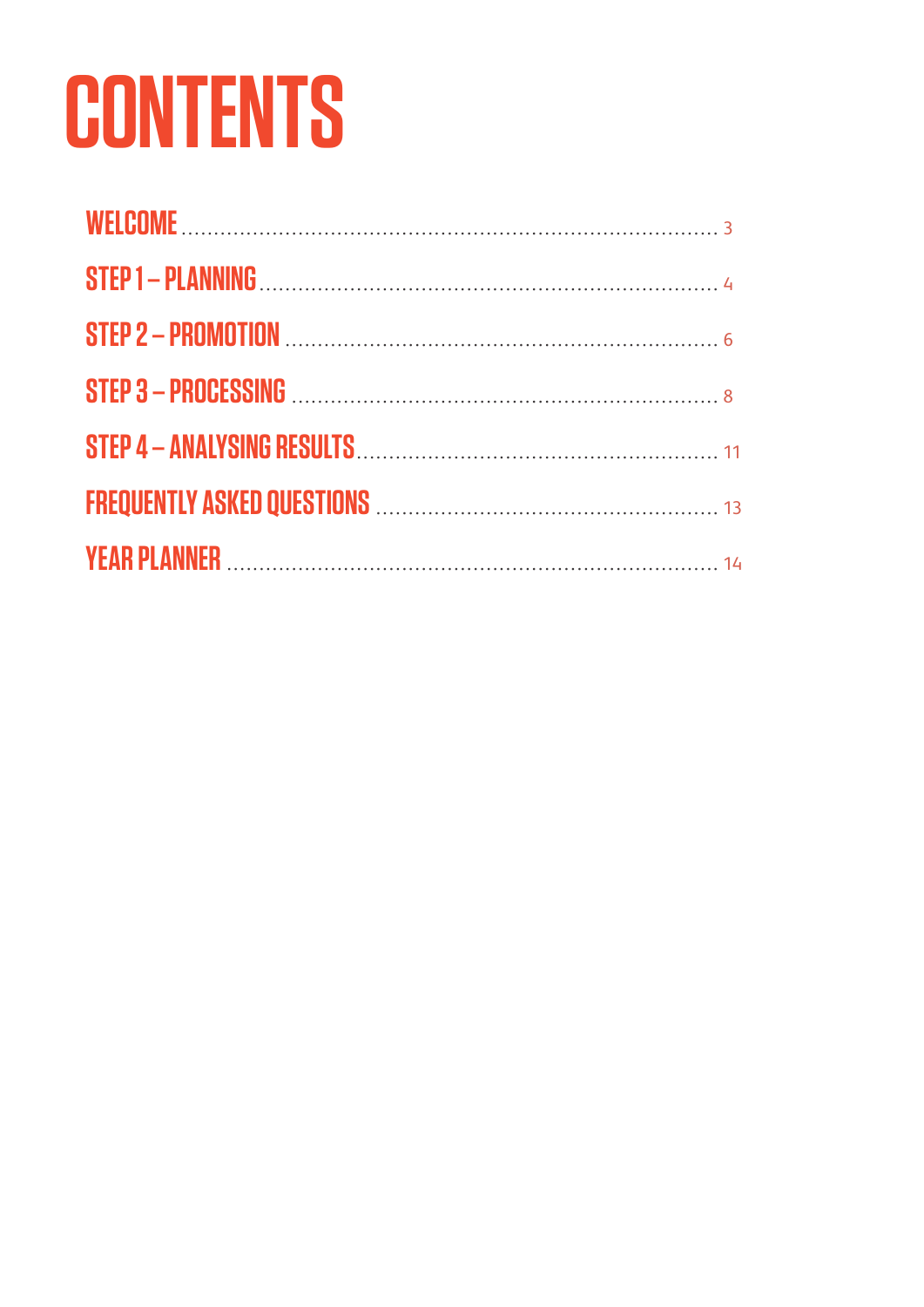# **CONTENTS**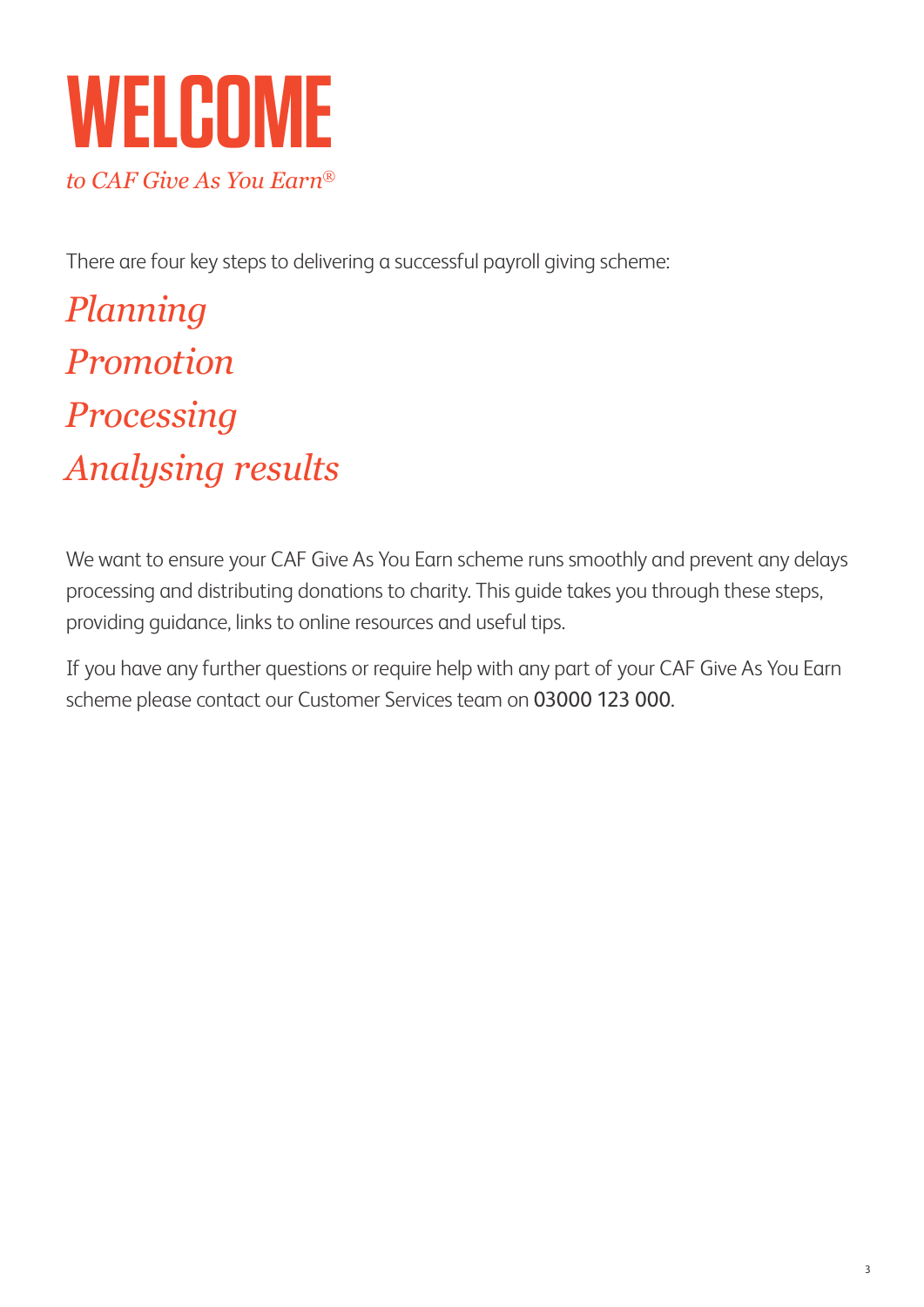# **WELCOME** *to CAF Give As You Earn®*

There are four key steps to delivering a successful payroll giving scheme:

*Planning Promotion Processing Analysing results*

We want to ensure your CAF Give As You Earn scheme runs smoothly and prevent any delays processing and distributing donations to charity. This guide takes you through these steps, providing guidance, links to online resources and useful tips.

If you have any further questions or require help with any part of your CAF Give As You Earn scheme please contact our Customer Services team on 03000 123 000.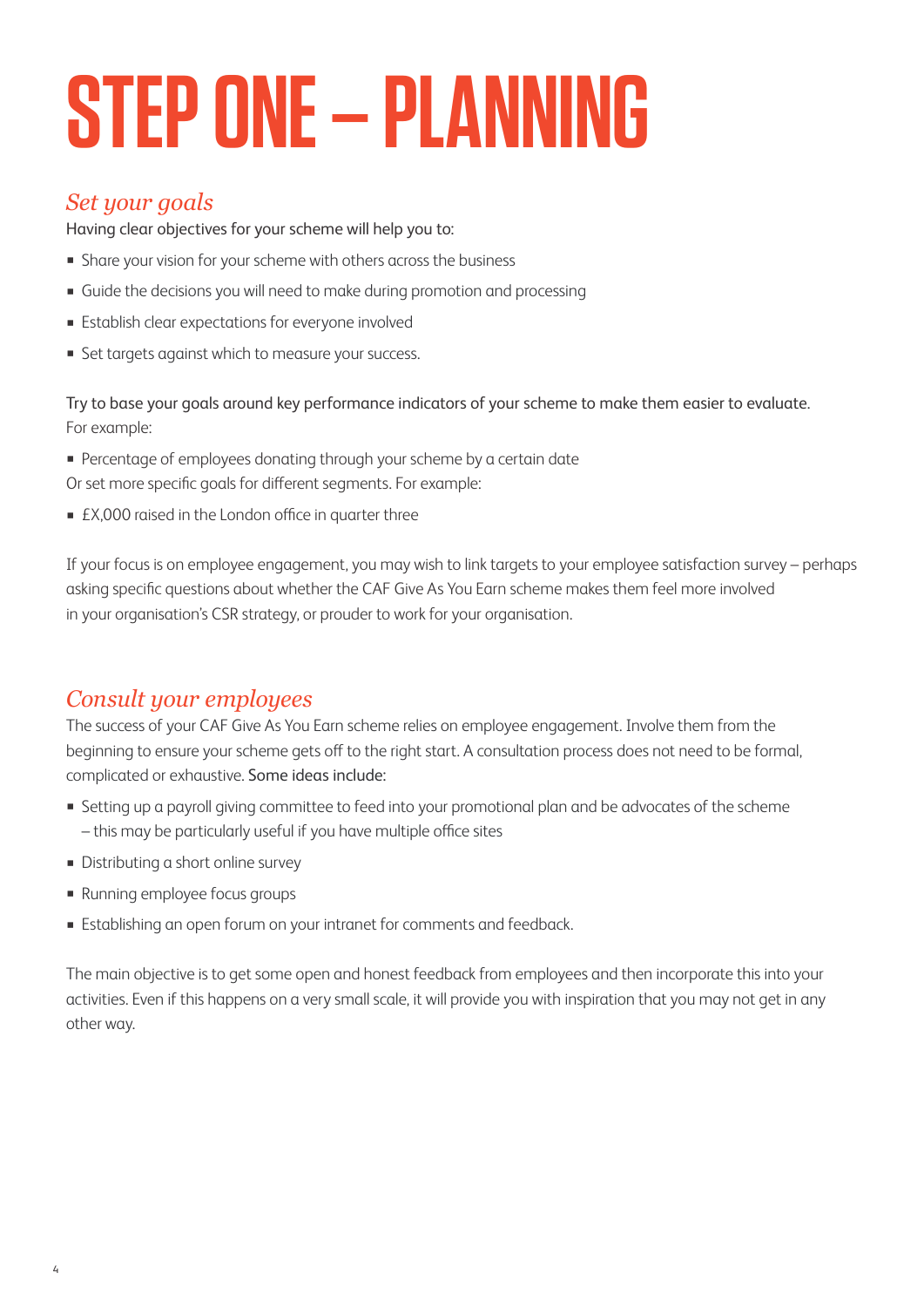# **STEP ONE – PLANNING**

## *Set your goals*

Having clear objectives for your scheme will help you to:

- **EX Share your vision for your scheme with others across the business**
- Guide the decisions you will need to make during promotion and processing
- **Establish clear expectations for everyone involved**
- **EXECT:** Set targets against which to measure your success.

Try to base your goals around key performance indicators of your scheme to make them easier to evaluate. For example:

- Percentage of employees donating through your scheme by a certain date
- Or set more specific goals for different segments. For example:
- £X,000 raised in the London office in quarter three

If your focus is on employee engagement, you may wish to link targets to your employee satisfaction survey – perhaps asking specific questions about whether the CAF Give As You Earn scheme makes them feel more involved in your organisation's CSR strategy, or prouder to work for your organisation.

# *Consult your employees*

The success of your CAF Give As You Earn scheme relies on employee engagement. Involve them from the beginning to ensure your scheme gets off to the right start. A consultation process does not need to be formal, complicated or exhaustive. Some ideas include:

- Setting up a payroll giving committee to feed into your promotional plan and be advocates of the scheme – this may be particularly useful if you have multiple office sites
- Distributing a short online survey
- Running employee focus groups
- **Establishing an open forum on your intranet for comments and feedback.**

The main objective is to get some open and honest feedback from employees and then incorporate this into your activities. Even if this happens on a very small scale, it will provide you with inspiration that you may not get in any other way.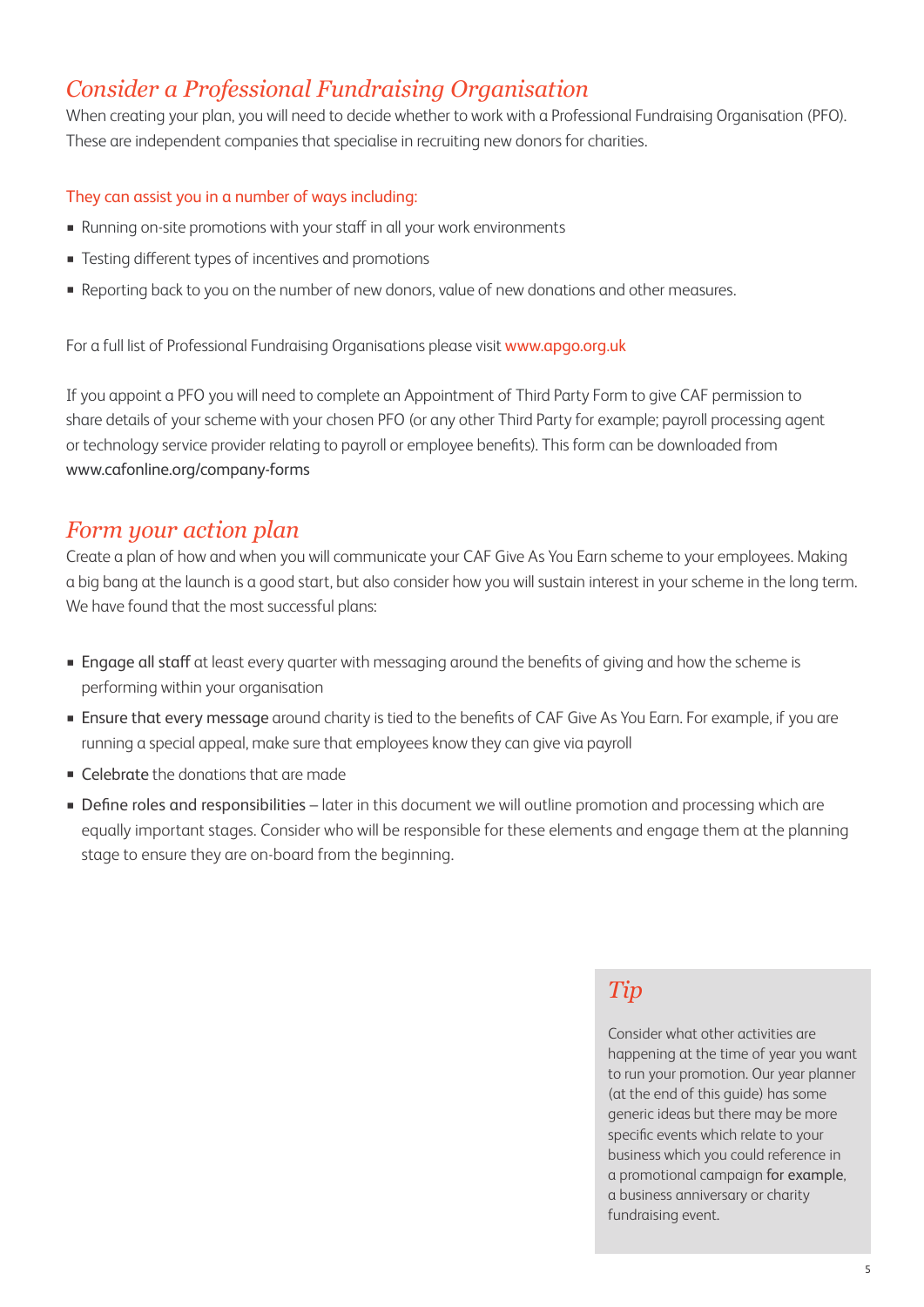# *Consider a Professional Fundraising Organisation*

When creating your plan, you will need to decide whether to work with a Professional Fundraising Organisation (PFO). These are independent companies that specialise in recruiting new donors for charities.

#### They can assist you in a number of ways including:

- Running on-site promotions with your staff in all your work environments
- Testing different types of incentives and promotions
- Reporting back to you on the number of new donors, value of new donations and other measures.

For a full list of Professional Fundraising Organisations please visit www.apgo.org.uk

If you appoint a PFO you will need to complete an Appointment of Third Party Form to give CAF permission to share details of your scheme with your chosen PFO (or any other Third Party for example; payroll processing agent or technology service provider relating to payroll or employee benefits). This form can be downloaded from www.cafonline.org/company-forms

### *Form your action plan*

Create a plan of how and when you will communicate your CAF Give As You Earn scheme to your employees. Making a big bang at the launch is a good start, but also consider how you will sustain interest in your scheme in the long term. We have found that the most successful plans:

- Engage all staff at least every quarter with messaging around the benefits of giving and how the scheme is performing within your organisation
- **Ensure that every message** around charity is tied to the benefits of CAF Give As You Earn. For example, if you are running a special appeal, make sure that employees know they can give via payroll
- Celebrate the donations that are made
- **Define roles and responsibilities** later in this document we will outline promotion and processing which are equally important stages. Consider who will be responsible for these elements and engage them at the planning stage to ensure they are on-board from the beginning.

# *Tip*

Consider what other activities are happening at the time of year you want to run your promotion. Our year planner (at the end of this guide) has some generic ideas but there may be more specific events which relate to your business which you could reference in a promotional campaign for example, a business anniversary or charity fundraising event.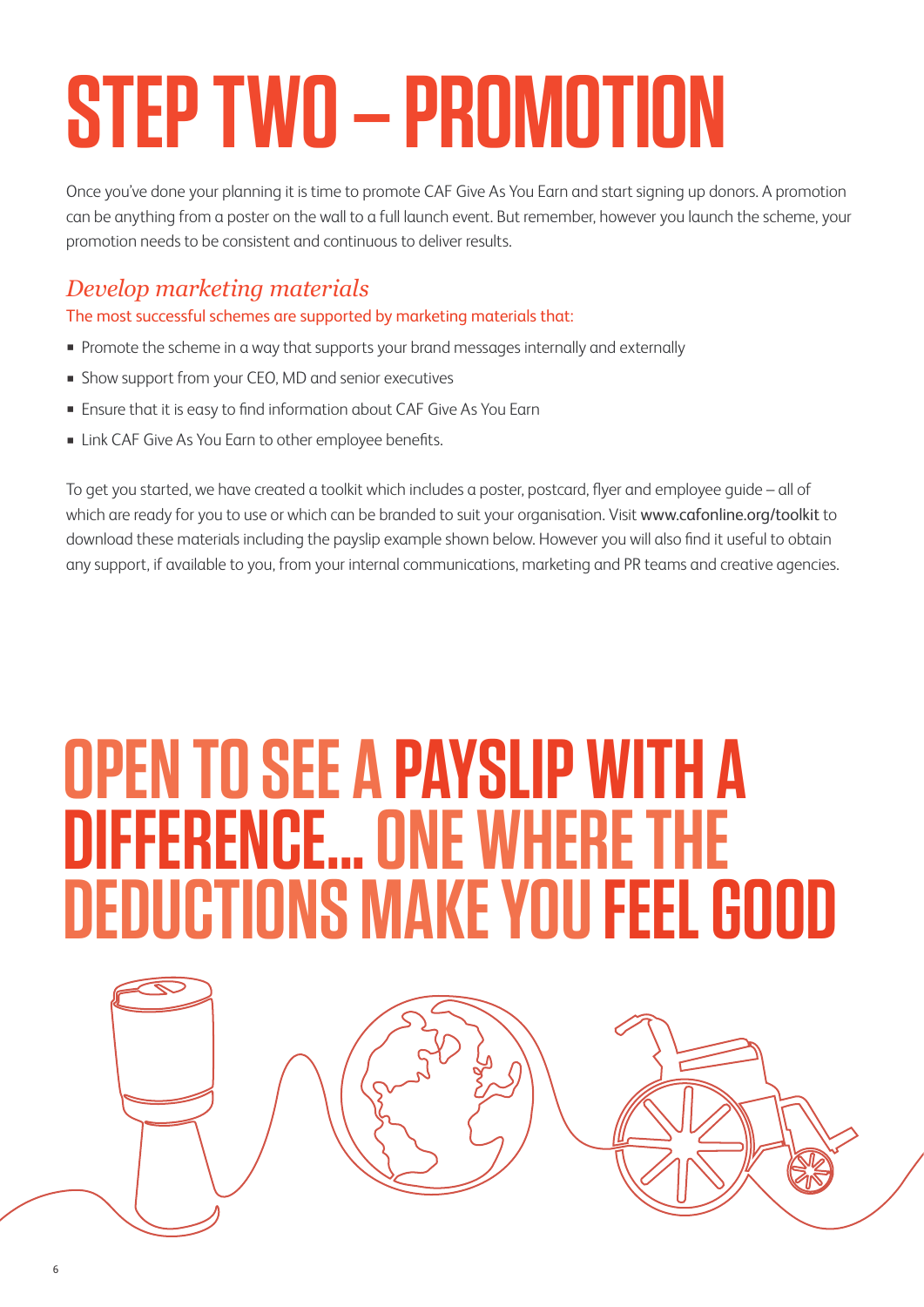# **STEP TWO – PROMOTION**

Once you've done your planning it is time to promote CAF Give As You Earn and start signing up donors. A promotion can be anything from a poster on the wall to a full launch event. But remember, however you launch the scheme, your promotion needs to be consistent and continuous to deliver results.

# *Develop marketing materials*

The most successful schemes are supported by marketing materials that:

- **•** Promote the scheme in a way that supports your brand messages internally and externally
- **EX Show support from your CEO, MD and senior executives**
- **Ensure that it is easy to find information about CAF Give As You Earn**
- **Example 2** Link CAF Give As You Earn to other employee benefits.

To get you started, we have created a toolkit which includes a poster, postcard, flyer and employee guide – all of which are ready for you to use or which can be branded to suit your organisation. Visit www.cafonline.org/toolkit to download these materials including the payslip example shown below. However you will also find it useful to obtain any support, if available to you, from your internal communications, marketing and PR teams and creative agencies.

# **OPEN TO SEE A PAYSLIP WITH A DIFFERENCE... ONE WHERE THE DEDUCTIONS MAKE YOU FEEL GOOD**

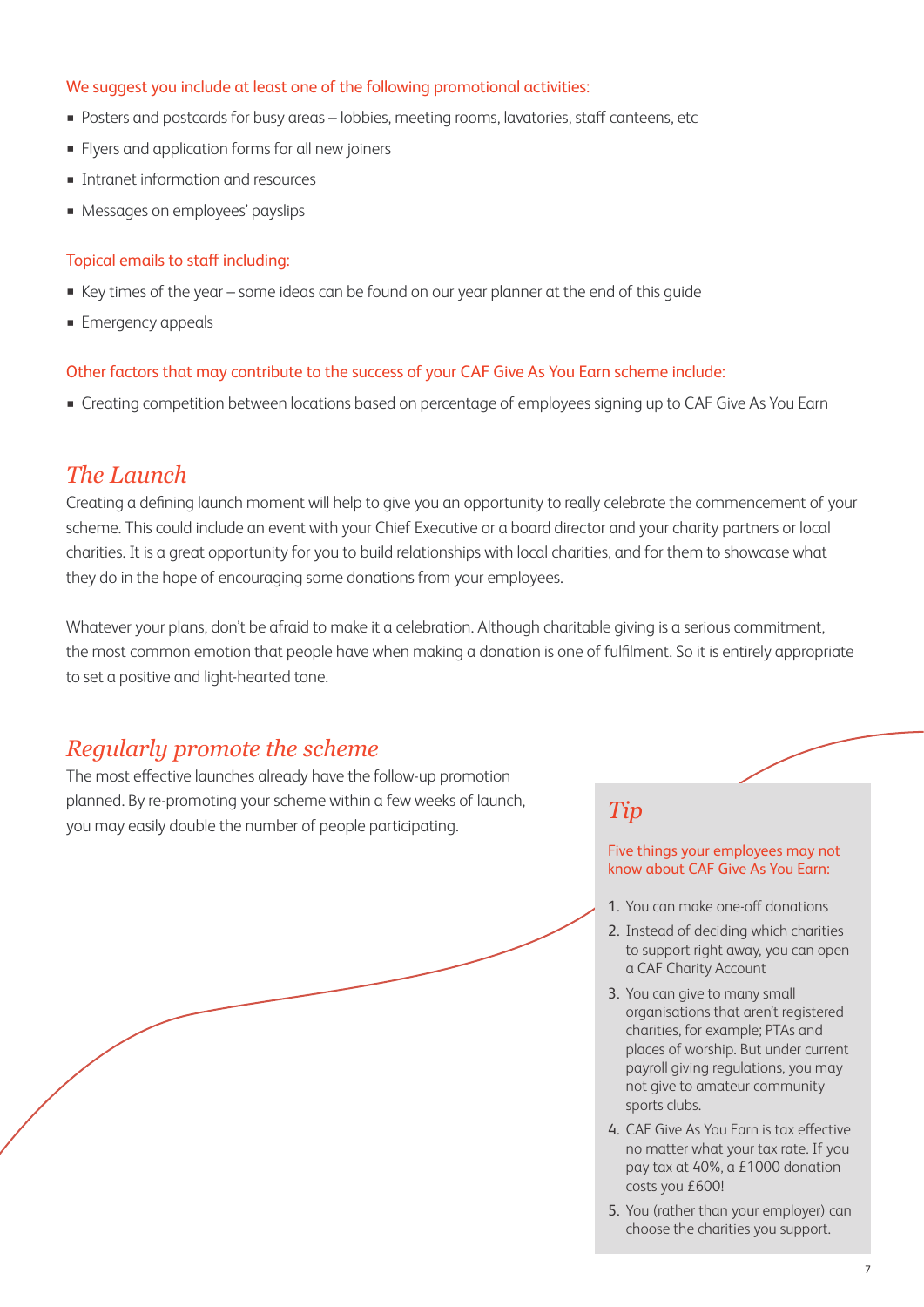#### We suggest you include at least one of the following promotional activities:

- Posters and postcards for busy areas lobbies, meeting rooms, lavatories, staff canteens, etc
- **•** Flyers and application forms for all new joiners
- **■** Intranet information and resources
- **Messages on employees' payslips**

#### Topical emails to staff including:

- Key times of the year some ideas can be found on our year planner at the end of this quide
- **Emergency appeals**

#### Other factors that may contribute to the success of your CAF Give As You Earn scheme include:

**Executing competition between locations based on percentage of employees signing up to CAF Give As You Earn** 

### *The Launch*

Creating a defining launch moment will help to give you an opportunity to really celebrate the commencement of your scheme. This could include an event with your Chief Executive or a board director and your charity partners or local charities. It is a great opportunity for you to build relationships with local charities, and for them to showcase what they do in the hope of encouraging some donations from your employees.

Whatever your plans, don't be afraid to make it a celebration. Although charitable giving is a serious commitment, the most common emotion that people have when making a donation is one of fulfilment. So it is entirely appropriate to set a positive and light-hearted tone.

### *Regularly promote the scheme*

The most effective launches already have the follow-up promotion planned. By re-promoting your scheme within a few weeks of launch, planned. By re-promoting your scheme within a few weeks of launch,  $\emph{Tip}$  you may easily double the number of people participating.

#### Five things your employees may not know about CAF Give As You Earn:

- 1. You can make one-off donations
- 2. Instead of deciding which charities to support right away, you can open a CAF Charity Account
- 3. You can give to many small organisations that aren't registered charities, for example; PTAs and places of worship. But under current payroll giving regulations, you may not give to amateur community sports clubs.
- 4. CAF Give As You Earn is tax effective no matter what your tax rate. If you pay tax at 40%, a £1000 donation costs you £600!
- 5. You (rather than your employer) can choose the charities you support.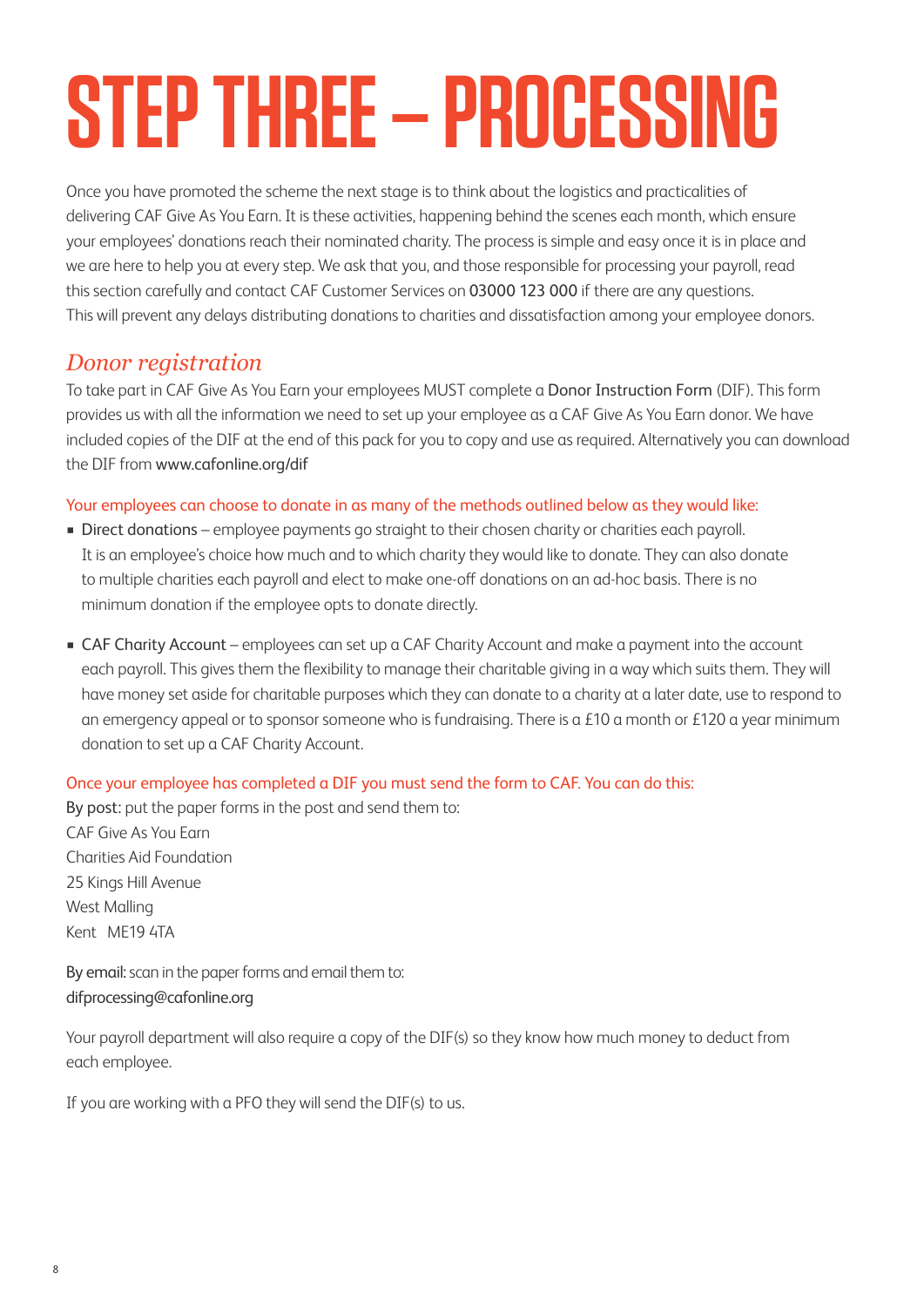# **STEP THREE – PROCESSING**

Once you have promoted the scheme the next stage is to think about the logistics and practicalities of delivering CAF Give As You Earn. It is these activities, happening behind the scenes each month, which ensure your employees' donations reach their nominated charity. The process is simple and easy once it is in place and we are here to help you at every step. We ask that you, and those responsible for processing your payroll, read this section carefully and contact CAF Customer Services on 03000 123 000 if there are any questions. This will prevent any delays distributing donations to charities and dissatisfaction among your employee donors.

### *Donor registration*

To take part in CAF Give As You Earn your employees MUST complete a Donor Instruction Form (DIF). This form provides us with all the information we need to set up your employee as a CAF Give As You Earn donor. We have included copies of the DIF at the end of this pack for you to copy and use as required. Alternatively you can download the DIF from www.cafonline.org/dif

#### Your employees can choose to donate in as many of the methods outlined below as they would like:

- **EXECT Direct donations** employee payments go straight to their chosen charity or charities each payroll. It is an employee's choice how much and to which charity they would like to donate. They can also donate to multiple charities each payroll and elect to make one-off donations on an ad-hoc basis. There is no minimum donation if the employee opts to donate directly.
- CAF Charity Account employees can set up a CAF Charity Account and make a payment into the account each payroll. This gives them the flexibility to manage their charitable giving in a way which suits them. They will have money set aside for charitable purposes which they can donate to a charity at a later date, use to respond to an emergency appeal or to sponsor someone who is fundraising. There is a £10 a month or £120 a year minimum donation to set up a CAF Charity Account.

#### Once your employee has completed a DIF you must send the form to CAF. You can do this:

By post: put the paper forms in the post and send them to: CAF Give As You Earn Charities Aid Foundation 25 Kings Hill Avenue West Malling Kent ME19 4TA

By email: scan in the paper forms and email them to: difprocessing@cafonline.org

Your payroll department will also require a copy of the DIF(s) so they know how much money to deduct from each employee.

If you are working with a PFO they will send the DIF(s) to us.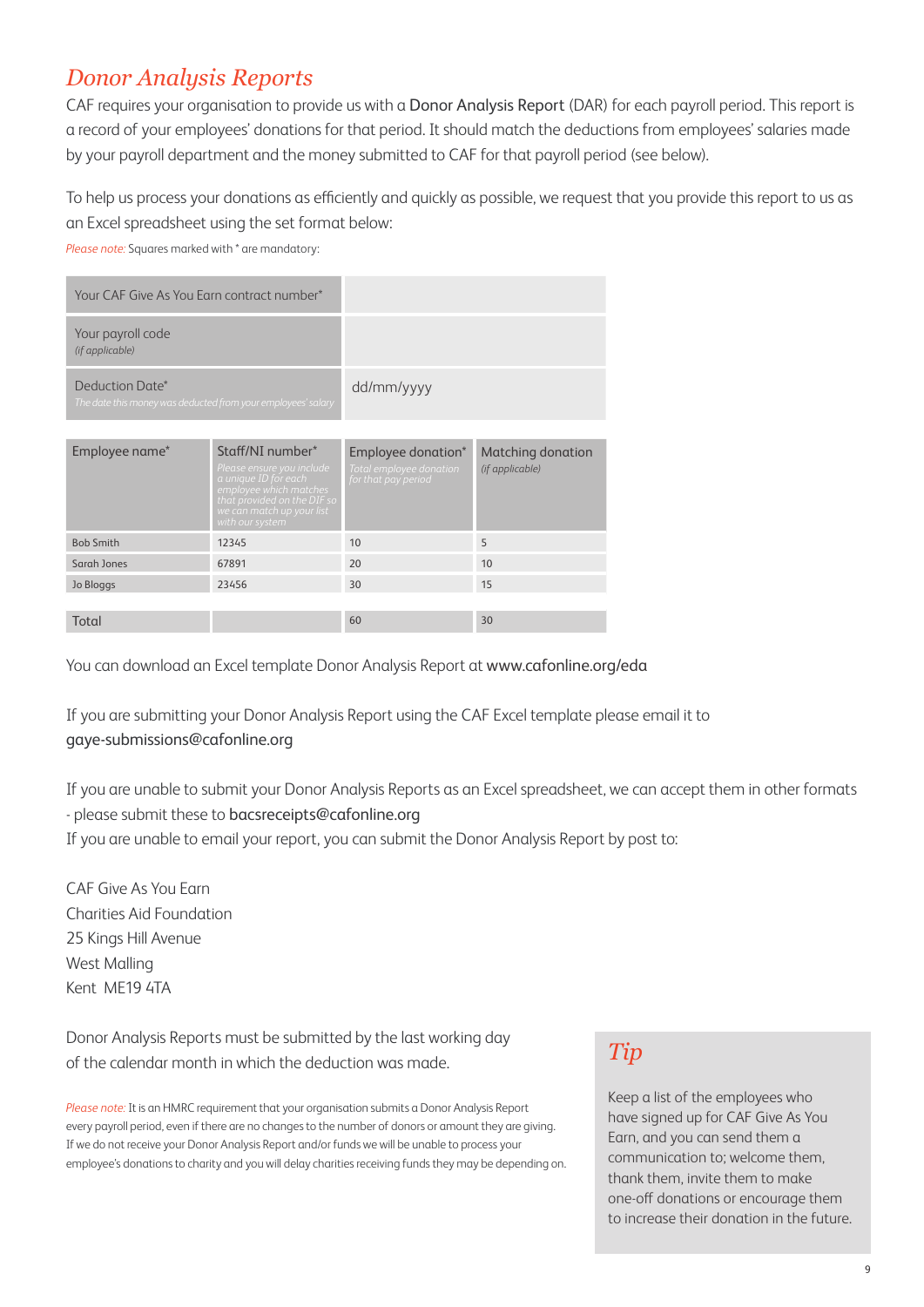# *Donor Analysis Reports*

CAF requires your organisation to provide us with a Donor Analysis Report (DAR) for each payroll period. This report is a record of your employees' donations for that period. It should match the deductions from employees' salaries made by your payroll department and the money submitted to CAF for that payroll period (see below).

To help us process your donations as efficiently and quickly as possible, we request that you provide this report to us as an Excel spreadsheet using the set format below:

*Please note:* Squares marked with \* are mandatory:

| Your CAF Give As You Earn contract number*                                      |                                                                                                                                                                                |                                                                      |                                      |  |
|---------------------------------------------------------------------------------|--------------------------------------------------------------------------------------------------------------------------------------------------------------------------------|----------------------------------------------------------------------|--------------------------------------|--|
| Your payroll code<br>(if applicable)                                            |                                                                                                                                                                                |                                                                      |                                      |  |
| Deduction Date*<br>The date this money was deducted from your employees' salary |                                                                                                                                                                                | dd/mm/yyyy                                                           |                                      |  |
|                                                                                 |                                                                                                                                                                                |                                                                      |                                      |  |
| Employee name*                                                                  | Staff/NI number*<br>Please ensure you include<br>a unique ID for each<br>employee which matches<br>that provided on the DIF so<br>we can match up your list<br>with our system | Employee donation*<br>Total employee donation<br>for that pay period | Matching donation<br>(if applicable) |  |
| <b>Bob Smith</b>                                                                | 12345                                                                                                                                                                          | 10                                                                   | 5                                    |  |
| Sarah Jones                                                                     | 67891                                                                                                                                                                          | 20                                                                   | 10                                   |  |
| Jo Bloggs                                                                       | 23456                                                                                                                                                                          | 30                                                                   | 15                                   |  |
|                                                                                 |                                                                                                                                                                                |                                                                      |                                      |  |
| Total                                                                           |                                                                                                                                                                                | 60                                                                   | 30                                   |  |

You can download an Excel template Donor Analysis Report at www.cafonline.org/eda

If you are submitting your Donor Analysis Report using the CAF Excel template please email it to gaye-submissions@cafonline.org

If you are unable to submit your Donor Analysis Reports as an Excel spreadsheet, we can accept them in other formats - please submit these to bacsreceipts@cafonline.org If you are unable to email your report, you can submit the Donor Analysis Report by post to:

CAF Give As You Earn Charities Aid Foundation 25 Kings Hill Avenue West Malling Kent ME19 4TA

Donor Analysis Reports must be submitted by the last working day of the calendar month in which the deduction was made.

*Please note:* It is an HMRC requirement that your organisation submits a Donor Analysis Report every payroll period, even if there are no changes to the number of donors or amount they are giving. If we do not receive your Donor Analysis Report and/or funds we will be unable to process your employee's donations to charity and you will delay charities receiving funds they may be depending on.

# *Tip*

Keep a list of the employees who have signed up for CAF Give As You Earn, and you can send them a communication to; welcome them, thank them, invite them to make one-off donations or encourage them to increase their donation in the future.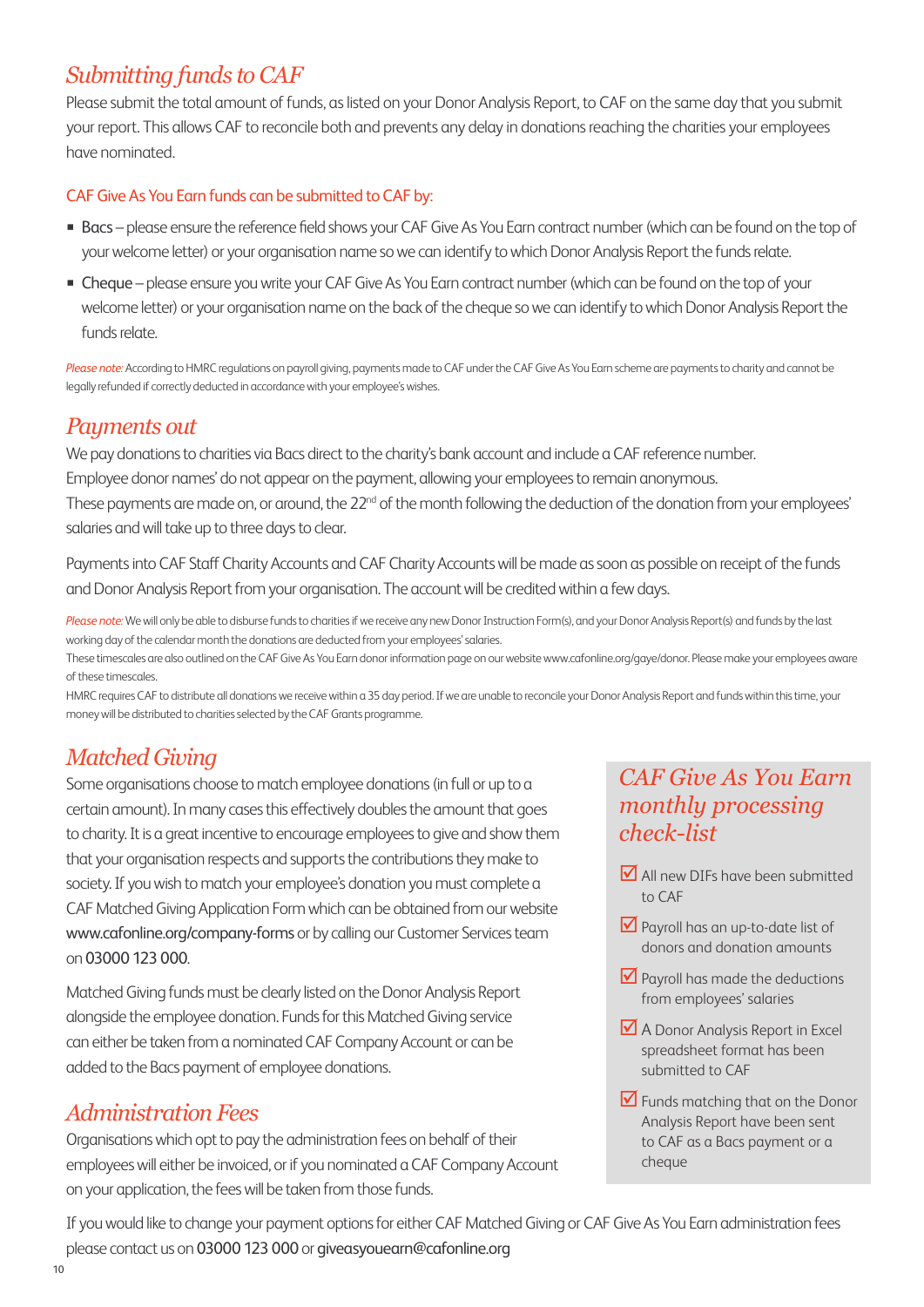## *Submitting funds to CAF*

Please submit the total amount of funds, as listed on your Donor Analysis Report, to CAF on the same day that you submit your report. This allows CAF to reconcile both and prevents any delay in donations reaching the charities your employees have nominated.

#### CAF Give As You Earn funds can be submitted to CAF by:

- Bacs please ensure the reference field shows your CAF Give As You Earn contract number (which can be found on the top of your welcome letter) or your organisation name so we can identify to which Donor Analysis Report the funds relate.
- Cheque please ensure you write your CAF Give As You Earn contract number (which can be found on the top of your welcome letter) or your organisation name on the back of the cheque so we can identify to which Donor Analysis Report the funds relate.

*Please note:* According to HMRC regulations on payroll giving, payments made to CAF under the CAF Give As You Earn scheme are payments to charity and cannot be legally refunded if correctly deducted in accordance with your employee's wishes.

# *Payments out*

We pay donations to charities via Bacs direct to the charity's bank account and include a CAF reference number. Employee donor names' do not appear on the payment, allowing your employees to remain anonymous. These payments are made on, or around, the 22<sup>nd</sup> of the month following the deduction of the donation from your employees' salaries and will take up to three days to clear.

Payments into CAF Staff Charity Accounts and CAF Charity Accounts will be made as soon as possible on receipt of the funds and Donor Analysis Report from your organisation. The account will be credited within a few days.

Please note: We will only be able to disburse funds to charities if we receive any new Donor Instruction Form(s), and your Donor Analysis Report(s) and funds by the last working day of the calendar month the donations are deducted from your employees' salaries.

These timescales are also outlined on the CAF Give As You Earn donor information page on our website www.cafonline.org/gaye/donor. Please make your employees aware of these timescales.

HMRC requires CAF to distribute all donations we receive within a 35 day period. If we are unable to reconcile your Donor Analysis Report and funds within this time, your money will be distributed to charities selected by the CAF Grants programme.

# *Matched Giving*

Some organisations choose to match employee donations (in full or up to a certain amount). In many cases this effectively doubles the amount that goes to charity. It is a great incentive to encourage employees to give and show them that your organisation respects and supports the contributions they make to society. If you wish to match your employee's donation you must complete a CAF Matched Giving Application Form which can be obtained from our website www.cafonline.org/company-forms or by calling our Customer Services team on 03000 123 000.

Matched Giving funds must be clearly listed on the Donor Analysis Report alongside the employee donation. Funds for this Matched Giving service can either be taken from a nominated CAF Company Account or can be added to the Bacs payment of employee donations.

# *Administration Fees*

Organisations which opt to pay the administration fees on behalf of their employees will either be invoiced, or if you nominated a CAF Company Account on your application, the fees will be taken from those funds.

# *CAF Give As You Earn monthly processing check-list*

- **M** All new DIFs have been submitted to CAF
- **V** Payroll has an up-to-date list of donors and donation amounts
- $\blacksquare$  Payroll has made the deductions from employees' salaries
- A Donor Analysis Report in Excel spreadsheet format has been submitted to CAF
- **V** Funds matching that on the Donor Analysis Report have been sent to CAF as a Bacs payment or a cheque

If you would like to change your payment options for either CAF Matched Giving or CAF Give As You Earn administration fees please contact us on 03000 123 000 or giveasyouearn@cafonline.org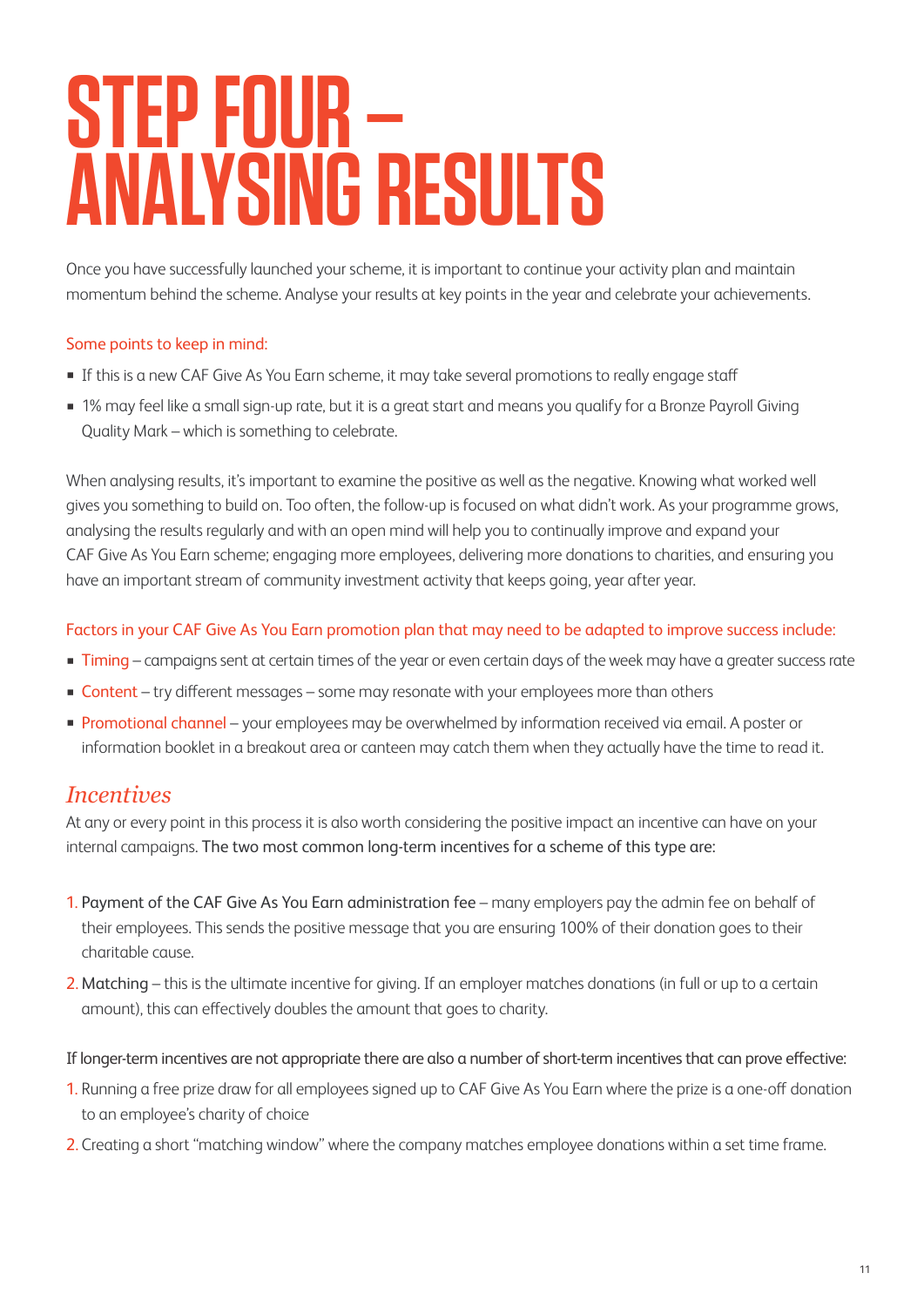# **STEP FOUR – ANALYSING RESULTS**

Once you have successfully launched your scheme, it is important to continue your activity plan and maintain momentum behind the scheme. Analyse your results at key points in the year and celebrate your achievements.

#### Some points to keep in mind:

- **If this is a new CAF Give As You Earn scheme, it may take several promotions to really engage staff**
- 1% may feel like a small sign-up rate, but it is a great start and means you qualify for a Bronze Payroll Giving Quality Mark – which is something to celebrate.

When analysing results, it's important to examine the positive as well as the negative. Knowing what worked well gives you something to build on. Too often, the follow-up is focused on what didn't work. As your programme grows, analysing the results regularly and with an open mind will help you to continually improve and expand your CAF Give As You Earn scheme; engaging more employees, delivering more donations to charities, and ensuring you have an important stream of community investment activity that keeps going, year after year.

#### Factors in your CAF Give As You Earn promotion plan that may need to be adapted to improve success include:

- **Timing** campaigns sent at certain times of the year or even certain days of the week may have a greater success rate
- Content try different messages some may resonate with your employees more than others
- **Promotional channel** your employees may be overwhelmed by information received via email. A poster or information booklet in a breakout area or canteen may catch them when they actually have the time to read it.

#### *Incentives*

At any or every point in this process it is also worth considering the positive impact an incentive can have on your internal campaigns. The two most common long-term incentives for a scheme of this type are:

- 1. Payment of the CAF Give As You Earn administration fee many employers pay the admin fee on behalf of their employees. This sends the positive message that you are ensuring 100% of their donation goes to their charitable cause.
- 2. Matching this is the ultimate incentive for giving. If an employer matches donations (in full or up to a certain amount), this can effectively doubles the amount that goes to charity.

#### If longer-term incentives are not appropriate there are also a number of short-term incentives that can prove effective:

- 1. Running a free prize draw for all employees signed up to CAF Give As You Earn where the prize is a one-off donation to an employee's charity of choice
- 2. Creating a short "matching window" where the company matches employee donations within a set time frame.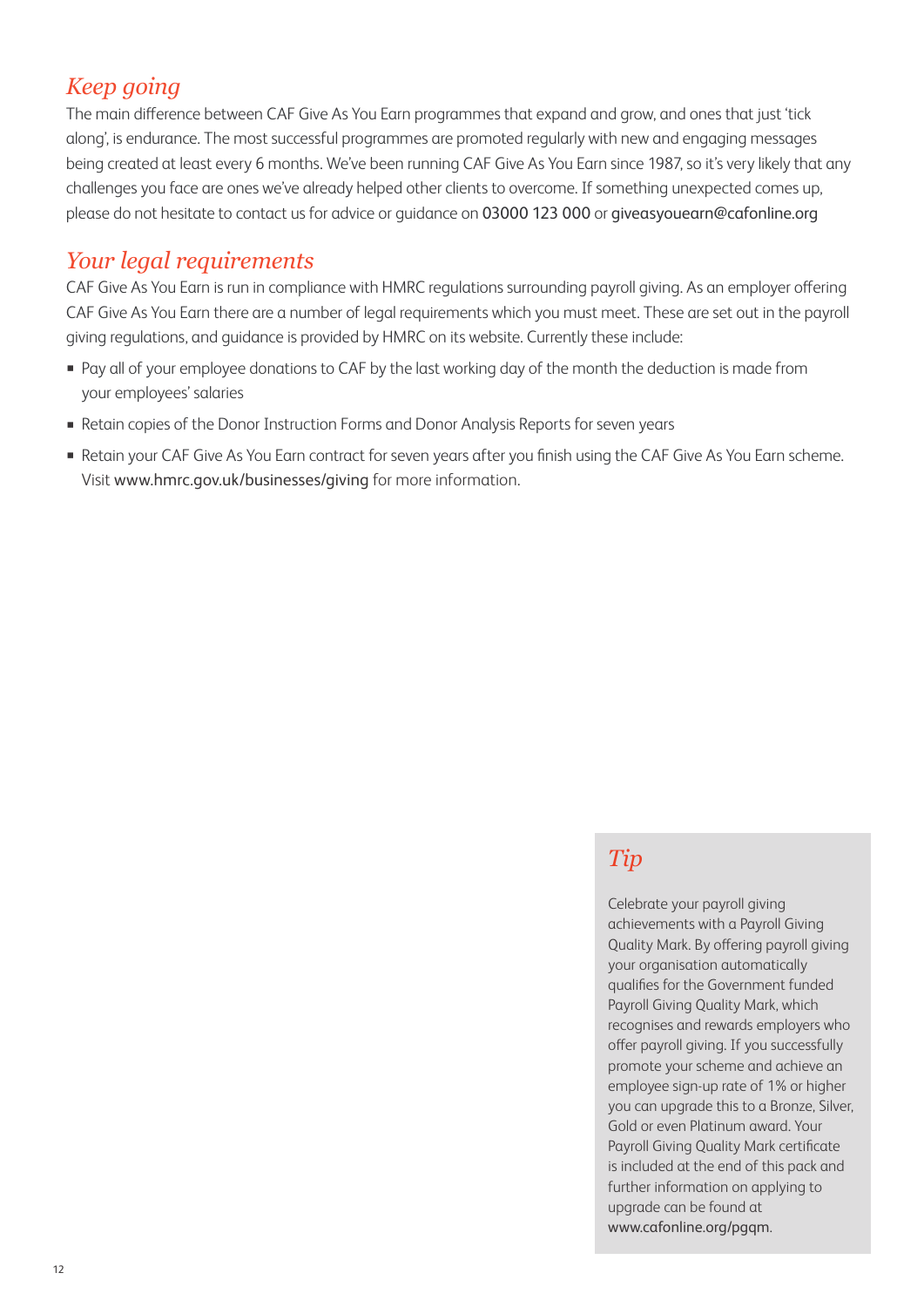# *Keep going*

The main difference between CAF Give As You Earn programmes that expand and grow, and ones that just 'tick along', is endurance. The most successful programmes are promoted regularly with new and engaging messages being created at least every 6 months. We've been running CAF Give As You Earn since 1987, so it's very likely that any challenges you face are ones we've already helped other clients to overcome. If something unexpected comes up, please do not hesitate to contact us for advice or guidance on 03000 123 000 or giveasyouearn@cafonline.org

## *Your legal requirements*

CAF Give As You Earn is run in compliance with HMRC regulations surrounding payroll giving. As an employer offering CAF Give As You Earn there are a number of legal requirements which you must meet. These are set out in the payroll giving regulations, and guidance is provided by HMRC on its website. Currently these include:

- Pay all of your employee donations to CAF by the last working day of the month the deduction is made from your employees' salaries
- Retain copies of the Donor Instruction Forms and Donor Analysis Reports for seven years
- . Retain your CAF Give As You Earn contract for seven years after you finish using the CAF Give As You Earn scheme. Visit www.hmrc.gov.uk/businesses/giving for more information.

# *Tip*

Celebrate your payroll giving achievements with a Payroll Giving Quality Mark. By offering payroll giving your organisation automatically qualifies for the Government funded Payroll Giving Quality Mark, which recognises and rewards employers who offer payroll giving. If you successfully promote your scheme and achieve an employee sign-up rate of 1% or higher you can upgrade this to a Bronze, Silver, Gold or even Platinum award. Your Payroll Giving Quality Mark certificate is included at the end of this pack and further information on applying to upgrade can be found at www.cafonline.org/pgqm.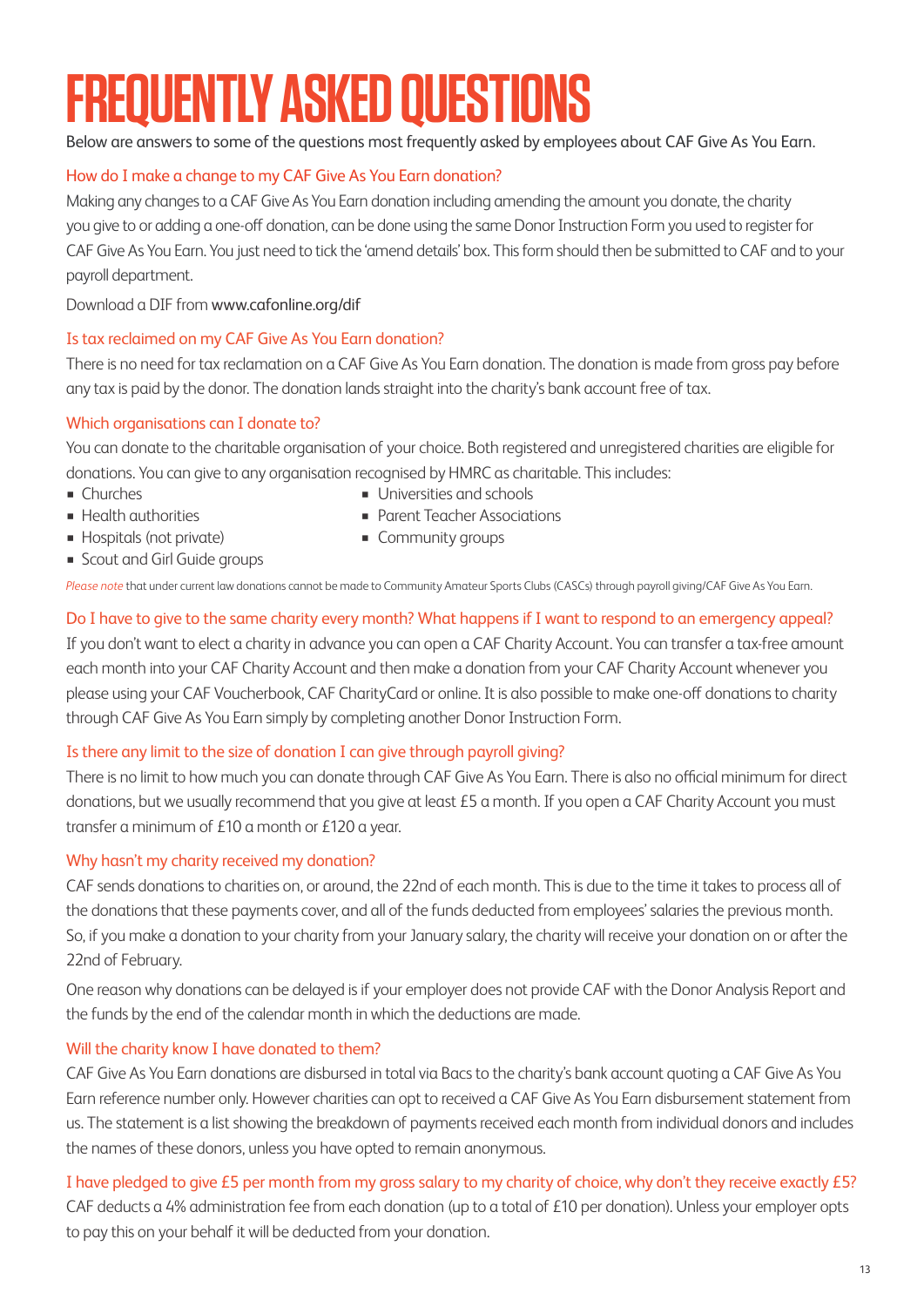# **FREQUENTLY ASKED QUESTIONS**

Below are answers to some of the questions most frequently asked by employees about CAF Give As You Earn.

#### How do I make a change to my CAF Give As You Earn donation?

Making any changes to a CAF Give As You Earn donation including amending the amount you donate, the charity you give to or adding a one-off donation, can be done using the same Donor Instruction Form you used to register for CAF Give As You Earn. You just need to tick the 'amend details' box. This form should then be submitted to CAF and to your payroll department.

Download a DIF from www.cafonline.org/dif

#### Is tax reclaimed on my CAF Give As You Earn donation?

There is no need for tax reclamation on a CAF Give As You Earn donation. The donation is made from gross pay before any tax is paid by the donor. The donation lands straight into the charity's bank account free of tax.

#### Which organisations can I donate to?

You can donate to the charitable organisation of your choice. Both registered and unregistered charities are eligible for donations. You can give to any organisation recognised by HMRC as charitable. This includes:

- 
- Churches Universities and schools<br>■ Health authorities Parent Teacher Associat
- 
- Parent Teacher Associations<br>■ Community groups
- **Hospitals (not private)**
- **Example 3 Scout and Girl Guide groups**
- 

*Please note* that under current law donations cannot be made to Community Amateur Sports Clubs (CASCs) through payroll giving/CAF Give As You Earn.

#### Do I have to give to the same charity every month? What happens if I want to respond to an emergency appeal?

If you don't want to elect a charity in advance you can open a CAF Charity Account. You can transfer a tax-free amount each month into your CAF Charity Account and then make a donation from your CAF Charity Account whenever you please using your CAF Voucherbook, CAF CharityCard or online. It is also possible to make one-off donations to charity through CAF Give As You Earn simply by completing another Donor Instruction Form.

#### Is there any limit to the size of donation I can give through payroll giving?

There is no limit to how much you can donate through CAF Give As You Earn. There is also no official minimum for direct donations, but we usually recommend that you give at least £5 a month. If you open a CAF Charity Account you must transfer a minimum of £10 a month or £120 a year.

#### Why hasn't my charity received my donation?

CAF sends donations to charities on, or around, the 22nd of each month. This is due to the time it takes to process all of the donations that these payments cover, and all of the funds deducted from employees' salaries the previous month. So, if you make a donation to your charity from your January salary, the charity will receive your donation on or after the 22nd of February.

One reason why donations can be delayed is if your employer does not provide CAF with the Donor Analysis Report and the funds by the end of the calendar month in which the deductions are made.

#### Will the charity know I have donated to them?

CAF Give As You Earn donations are disbursed in total via Bacs to the charity's bank account quoting a CAF Give As You Earn reference number only. However charities can opt to received a CAF Give As You Earn disbursement statement from us. The statement is a list showing the breakdown of payments received each month from individual donors and includes the names of these donors, unless you have opted to remain anonymous.

#### I have pledged to give £5 per month from my gross salary to my charity of choice, why don't they receive exactly £5?

CAF deducts a 4% administration fee from each donation (up to a total of £10 per donation). Unless your employer opts to pay this on your behalf it will be deducted from your donation.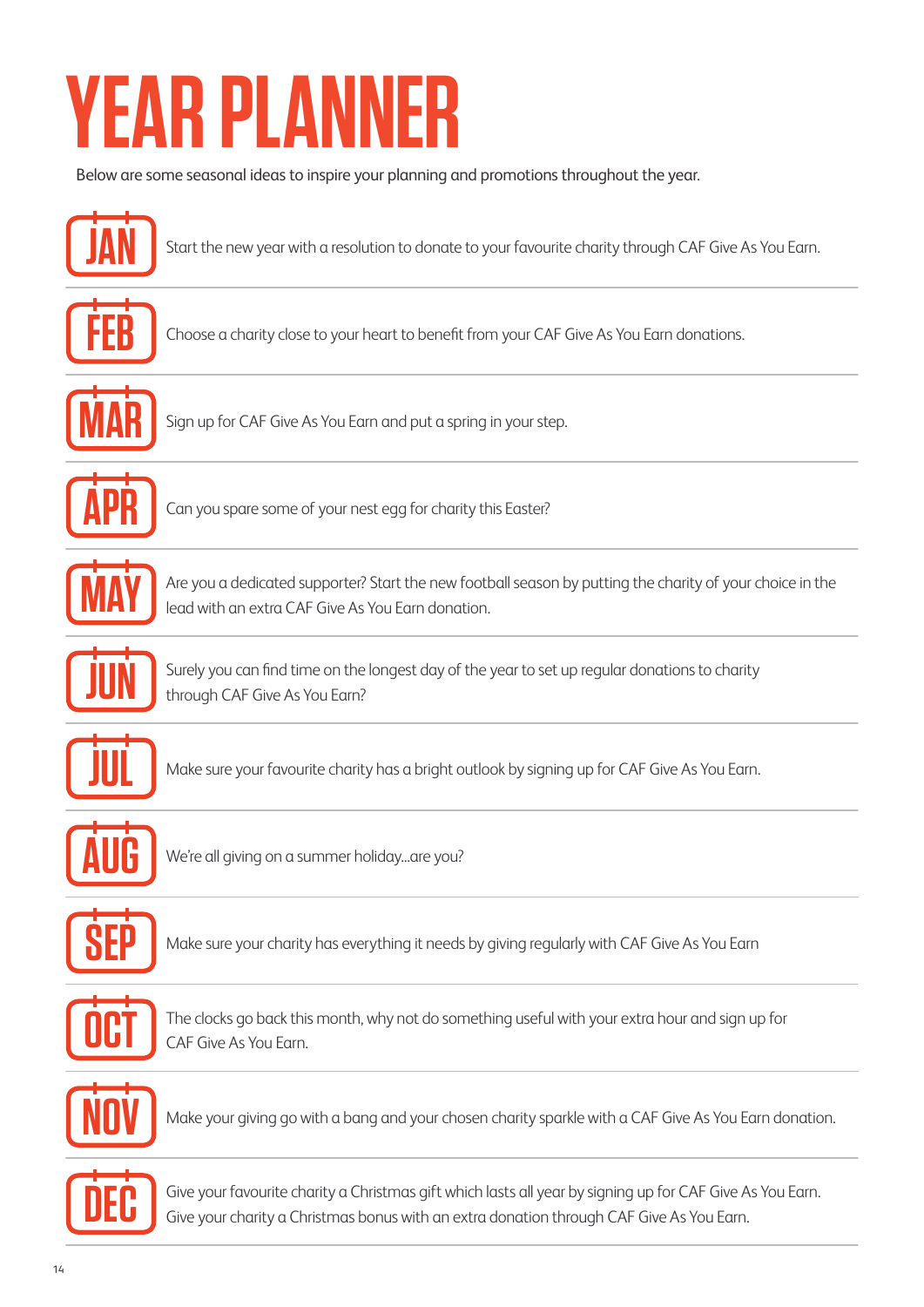# **YEAR PLANN**

Below are some seasonal ideas to inspire your planning and promotions throughout the year.



Choose a charity close to your heart to benefit from your CAF Give As You Earn donations.

Start the new year with a resolution to donate to your favourite charity through CAF Give As You Earn.



Sign up for CAF Give As You Earn and put a spring in your step.



Can you spare some of your nest egg for charity this Easter?



Are you a dedicated supporter? Start the new football season by putting the charity of your choice in the lead with an extra CAF Give As You Earn donation.



Surely you can find time on the longest day of the year to set up regular donations to charity through CAF Give As You Earn?



Make sure your favourite charity has a bright outlook by signing up for CAF Give As You Earn.



We're all giving on a summer holiday...are you?



Make sure your charity has everything it needs by giving regularly with CAF Give As You Earn



The clocks go back this month, why not do something useful with your extra hour and sign up for CAF Give As You Earn.



Make your giving go with a bang and your chosen charity sparkle with a CAF Give As You Earn donation.



Give your favourite charity a Christmas gift which lasts all year by signing up for CAF Give As You Earn. Give your charity a Christmas bonus with an extra donation through CAF Give As You Earn.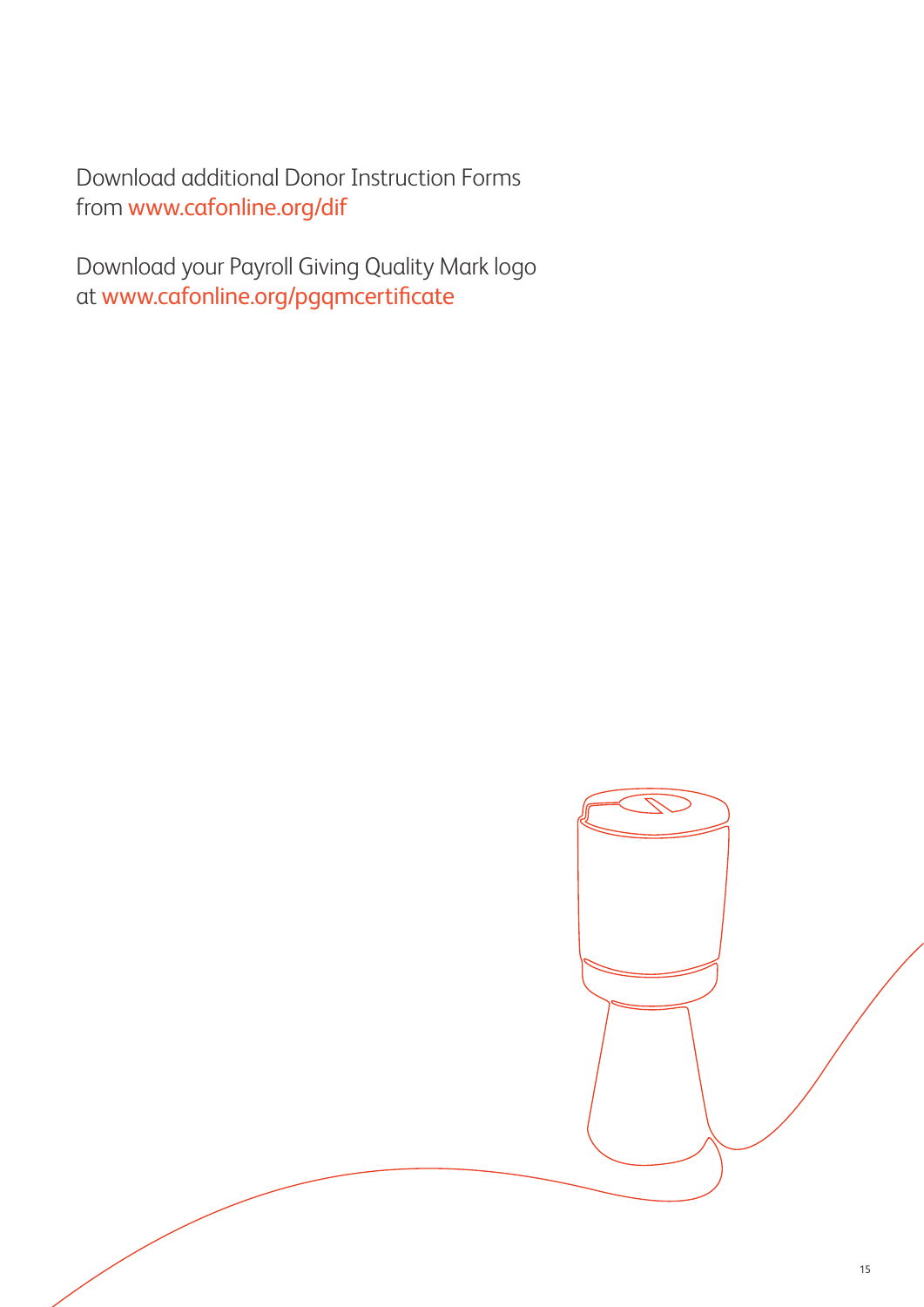Download additional Donor Instruction Forms from www.cafonline.org/dif

Download your Payroll Giving Quality Mark logo at www.cafonline.org/pgqmcertificate